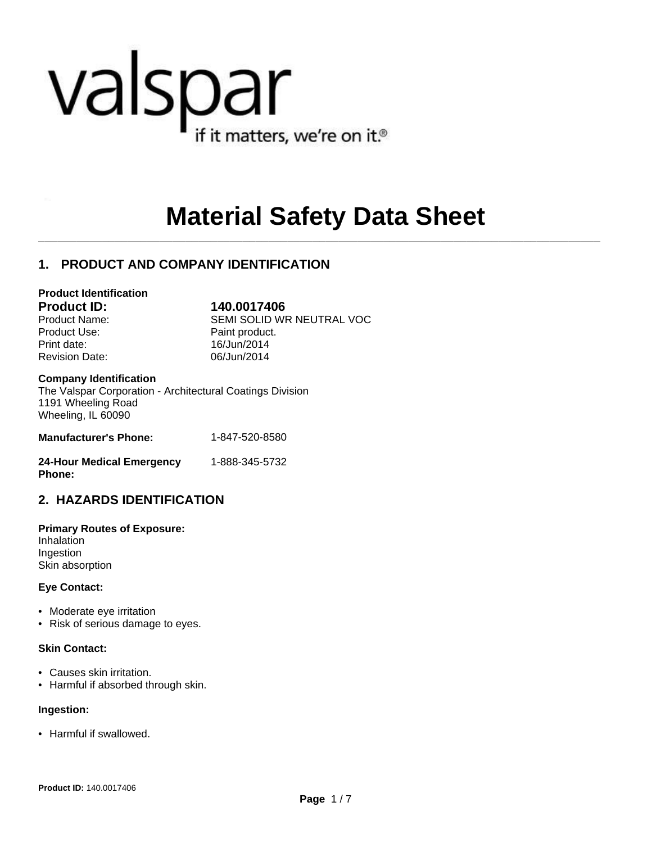# valspar if it matters, we're on it.<sup>®</sup>

## **Material Safety Data Sheet**

 $\mathcal{L}_\mathcal{L} = \mathcal{L}_\mathcal{L}$ 

## **1. PRODUCT AND COMPANY IDENTIFICATION**

#### **Product Identification**

**Product ID: 140.0017406**

Product Use: Product Use: Print date: 16/Jun/2014 Revision Date: 06/Jun/2014

Product Name: SEMI SOLID WR NEUTRAL VOC

#### **Company Identification**

The Valspar Corporation - Architectural Coatings Division 1191 Wheeling Road Wheeling, IL 60090

| <b>Manufacturer's Phone:</b> | 1-847-520-8580 |
|------------------------------|----------------|
|                              |                |

| <b>24-Hour Medical Emergency</b> | 1-888-345-5732 |
|----------------------------------|----------------|
| <b>Phone:</b>                    |                |

## **2. HAZARDS IDENTIFICATION**

**Primary Routes of Exposure:** Inhalation Ingestion Skin absorption

#### **Eye Contact:**

- Moderate eye irritation
- Risk of serious damage to eyes.

#### **Skin Contact:**

- Causes skin irritation.
- Harmful if absorbed through skin.

#### **Ingestion:**

• Harmful if swallowed.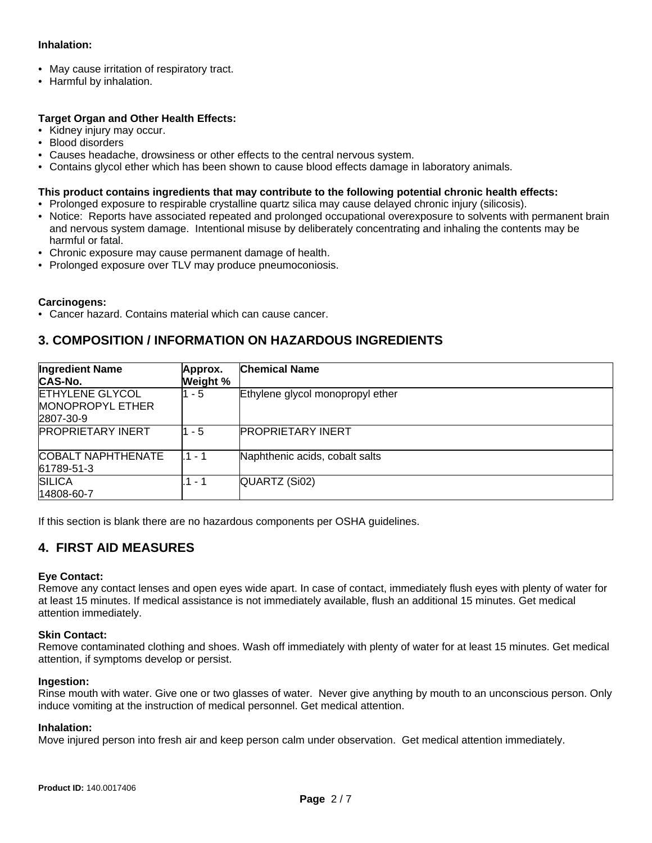#### **Inhalation:**

- May cause irritation of respiratory tract.
- Harmful by inhalation.

#### **Target Organ and Other Health Effects:**

- Kidney injury may occur.
- Blood disorders
- Causes headache, drowsiness or other effects to the central nervous system.
- Contains glycol ether which has been shown to cause blood effects damage in laboratory animals.

#### **This product contains ingredients that may contribute to the following potential chronic health effects:**

- Prolonged exposure to respirable crystalline quartz silica may cause delayed chronic injury (silicosis).
- Notice: Reports have associated repeated and prolonged occupational overexposure to solvents with permanent brain and nervous system damage. Intentional misuse by deliberately concentrating and inhaling the contents may be harmful or fatal.
- Chronic exposure may cause permanent damage of health.
- Prolonged exposure over TLV may produce pneumoconiosis.

#### **Carcinogens:**

• Cancer hazard. Contains material which can cause cancer.

#### **3. COMPOSITION / INFORMATION ON HAZARDOUS INGREDIENTS**

| <b>Ingredient Name</b><br><b>CAS-No.</b>                       | Approx.<br>Weight % | <b>Chemical Name</b>             |
|----------------------------------------------------------------|---------------------|----------------------------------|
| <b>ETHYLENE GLYCOL</b><br><b>MONOPROPYL ETHER</b><br>2807-30-9 | 1 - 5               | Ethylene glycol monopropyl ether |
| <b>PROPRIETARY INERT</b>                                       | 1 - 5               | <b>PROPRIETARY INERT</b>         |
| <b>COBALT NAPHTHENATE</b><br>61789-51-3                        | $.1 - 1$            | Naphthenic acids, cobalt salts   |
| <b>SILICA</b><br>14808-60-7                                    | .1 - 1              | QUARTZ (Si02)                    |

If this section is blank there are no hazardous components per OSHA guidelines.

#### **4. FIRST AID MEASURES**

#### **Eye Contact:**

Remove any contact lenses and open eyes wide apart. In case of contact, immediately flush eyes with plenty of water for at least 15 minutes. If medical assistance is not immediately available, flush an additional 15 minutes. Get medical attention immediately.

#### **Skin Contact:**

Remove contaminated clothing and shoes. Wash off immediately with plenty of water for at least 15 minutes. Get medical attention, if symptoms develop or persist.

#### **Ingestion:**

Rinse mouth with water. Give one or two glasses of water. Never give anything by mouth to an unconscious person. Only induce vomiting at the instruction of medical personnel. Get medical attention.

#### **Inhalation:**

Move injured person into fresh air and keep person calm under observation. Get medical attention immediately.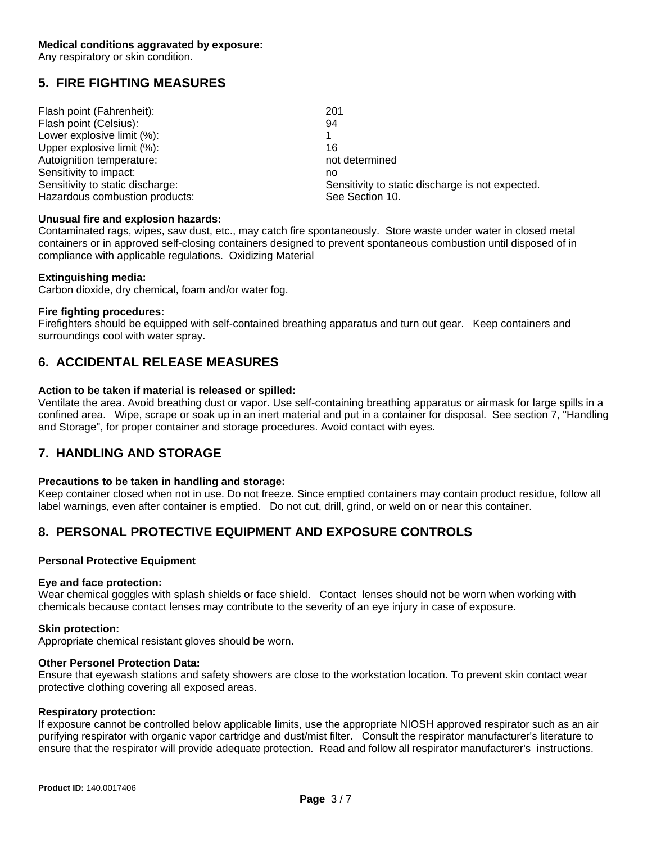Any respiratory or skin condition.

#### **5. FIRE FIGHTING MEASURES**

| Flash point (Fahrenheit):        | 201                                              |
|----------------------------------|--------------------------------------------------|
| Flash point (Celsius):           | 94                                               |
| Lower explosive limit (%):       |                                                  |
| Upper explosive limit (%):       | 16                                               |
| Autoignition temperature:        | not determined                                   |
| Sensitivity to impact:           | no                                               |
| Sensitivity to static discharge: | Sensitivity to static discharge is not expected. |
| Hazardous combustion products:   | See Section 10.                                  |

#### **Unusual fire and explosion hazards:**

Contaminated rags, wipes, saw dust, etc., may catch fire spontaneously. Store waste under water in closed metal containers or in approved self-closing containers designed to prevent spontaneous combustion until disposed of in compliance with applicable regulations. Oxidizing Material

#### **Extinguishing media:**

Carbon dioxide, dry chemical, foam and/or water fog.

#### **Fire fighting procedures:**

Firefighters should be equipped with self-contained breathing apparatus and turn out gear. Keep containers and surroundings cool with water spray.

#### **6. ACCIDENTAL RELEASE MEASURES**

#### **Action to be taken if material is released or spilled:**

Ventilate the area. Avoid breathing dust or vapor. Use self-containing breathing apparatus or airmask for large spills in a confined area. Wipe, scrape or soak up in an inert material and put in a container for disposal. See section 7, "Handling and Storage", for proper container and storage procedures. Avoid contact with eyes.

#### **7. HANDLING AND STORAGE**

#### **Precautions to be taken in handling and storage:**

Keep container closed when not in use. Do not freeze. Since emptied containers may contain product residue, follow all label warnings, even after container is emptied. Do not cut, drill, grind, or weld on or near this container.

#### **8. PERSONAL PROTECTIVE EQUIPMENT AND EXPOSURE CONTROLS**

#### **Personal Protective Equipment**

#### **Eye and face protection:**

Wear chemical goggles with splash shields or face shield. Contact lenses should not be worn when working with chemicals because contact lenses may contribute to the severity of an eye injury in case of exposure.

#### **Skin protection:**

Appropriate chemical resistant gloves should be worn.

#### **Other Personel Protection Data:**

Ensure that eyewash stations and safety showers are close to the workstation location. To prevent skin contact wear protective clothing covering all exposed areas.

#### **Respiratory protection:**

If exposure cannot be controlled below applicable limits, use the appropriate NIOSH approved respirator such as an air purifying respirator with organic vapor cartridge and dust/mist filter. Consult the respirator manufacturer's literature to ensure that the respirator will provide adequate protection. Read and follow all respirator manufacturer's instructions.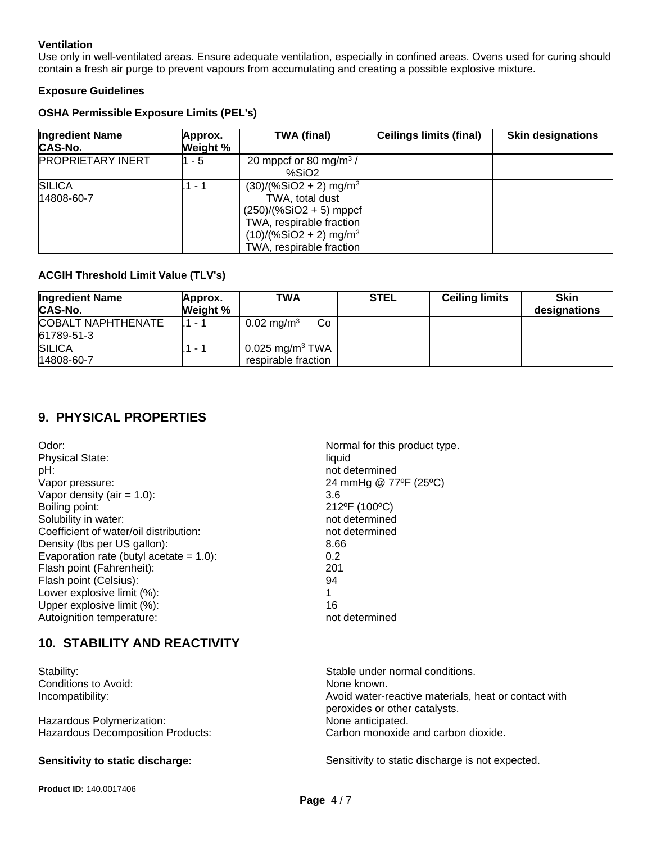#### **Ventilation**

Use only in well-ventilated areas. Ensure adequate ventilation, especially in confined areas. Ovens used for curing should contain a fresh air purge to prevent vapours from accumulating and creating a possible explosive mixture.

#### **Exposure Guidelines**

#### **OSHA Permissible Exposure Limits (PEL's)**

| <b>Ingredient Name</b><br>CAS-No. | Approx.<br>Weight % | <b>TWA (final)</b>                                                                                                                                                                   | <b>Ceilings limits (final)</b> | <b>Skin designations</b> |
|-----------------------------------|---------------------|--------------------------------------------------------------------------------------------------------------------------------------------------------------------------------------|--------------------------------|--------------------------|
| <b>PROPRIETARY INERT</b>          | 1 - 5               | 20 mppcf or 80 mg/m <sup>3</sup> /<br>%SiO2                                                                                                                                          |                                |                          |
| <b>SILICA</b><br>14808-60-7       | .1 - 1              | $(30)/(%SiO2 + 2)$ mg/m <sup>3</sup><br>TWA, total dust<br>$(250)/(%SiO2 + 5)$ mppcf<br>TWA, respirable fraction<br>$(10)/(%SiO2 + 2)$ mg/m <sup>3</sup><br>TWA, respirable fraction |                                |                          |

#### **ACGIH Threshold Limit Value (TLV's)**

| <b>Ingredient Name</b><br>CAS-No.       | Approx.<br>Weight % | <b>TWA</b>                                           | <b>STEL</b> | <b>Ceiling limits</b> | <b>Skin</b><br>designations |
|-----------------------------------------|---------------------|------------------------------------------------------|-------------|-----------------------|-----------------------------|
| <b>COBALT NAPHTHENATE</b><br>61789-51-3 | $11 - 1$            | $0.02 \,\mathrm{mg/m^3}$<br>Co                       |             |                       |                             |
| <b>SILICA</b><br>14808-60-7             | $.1 - T$            | $0.025$ mg/m <sup>3</sup> TWA<br>respirable fraction |             |                       |                             |

#### **9. PHYSICAL PROPERTIES**

Odor:  $\blacksquare$  Normal for this product type. Physical State: liquid pH: not determined Vapor pressure: 24 mmHg @ 77ºF (25°C) Vapor density  $(air = 1.0)$ : 3.6 Boiling point: 212°F (100°C) Solubility in water: not determined Coefficient of water/oil distribution: not determined Density (lbs per US gallon): 8.66 Evaporation rate (butyl acetate  $= 1.0$ ): 0.2 Flash point (Fahrenheit): 201 Flash point (Celsius): 94 Lower explosive limit (%): 1 Upper explosive limit (%): 16 Autoignition temperature: not determined

## **10. STABILITY AND REACTIVITY**

Conditions to Avoid: None known.

Hazardous Polymerization: None anticipated.

Stability: Stability: Stable under normal conditions. Incompatibility: Incompatibility: Incompatibility: Avoid water-reactive materials, heat or contact with peroxides or other catalysts. Hazardous Decomposition Products: Carbon monoxide and carbon dioxide.

**Sensitivity to static discharge:** Sensitivity to static discharge is not expected.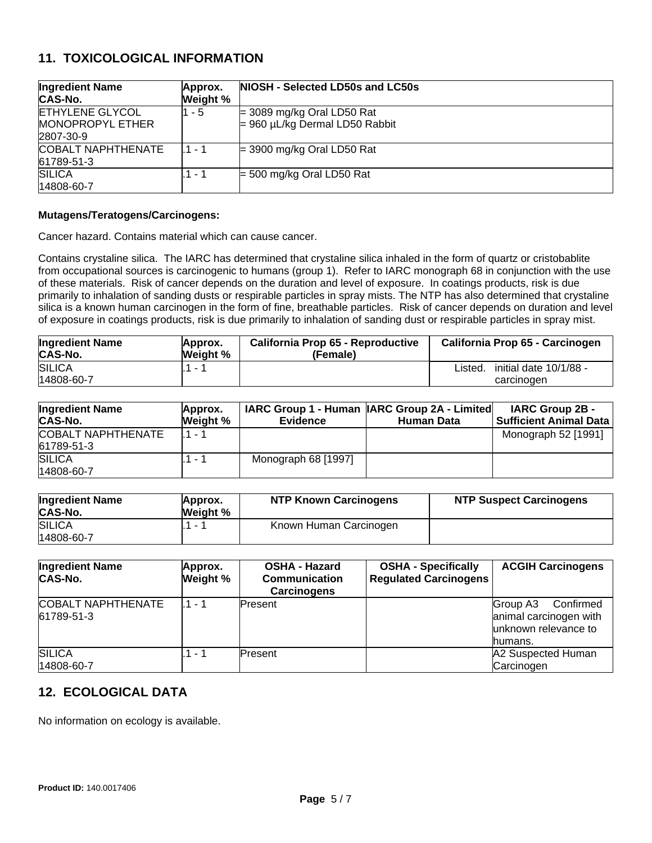#### **11. TOXICOLOGICAL INFORMATION**

| <b>Ingredient Name</b><br><b>CAS-No.</b> | Approx.<br>Weight % | NIOSH - Selected LD50s and LC50s    |
|------------------------------------------|---------------------|-------------------------------------|
| <b>ETHYLENE GLYCOL</b>                   | l1 - 5              | $=$ 3089 mg/kg Oral LD50 Rat        |
| <b>MONOPROPYL ETHER</b>                  |                     | $= 960 \mu L/kg$ Dermal LD50 Rabbit |
| 2807-30-9                                |                     |                                     |
| <b>COBALT NAPHTHENATE</b>                | l 1 - 1             | $=$ 3900 mg/kg Oral LD50 Rat        |
| 61789-51-3                               |                     |                                     |
| <b>SILICA</b>                            | 1 - 1               | $=$ 500 mg/kg Oral LD50 Rat         |
| 14808-60-7                               |                     |                                     |

#### **Mutagens/Teratogens/Carcinogens:**

Cancer hazard. Contains material which can cause cancer.

Contains crystaline silica. The IARC has determined that crystaline silica inhaled in the form of quartz or cristobablite from occupational sources is carcinogenic to humans (group 1). Refer to IARC monograph 68 in conjunction with the use of these materials. Risk of cancer depends on the duration and level of exposure. In coatings products, risk is due primarily to inhalation of sanding dusts or respirable particles in spray mists. The NTP has also determined that crystaline silica is a known human carcinogen in the form of fine, breathable particles. Risk of cancer depends on duration and level of exposure in coatings products, risk is due primarily to inhalation of sanding dust or respirable particles in spray mist.

| <b>Ingredient Name</b>      | Approx.  | California Prop 65 - Reproductive | California Prop 65 - Carcinogen                 |
|-----------------------------|----------|-----------------------------------|-------------------------------------------------|
| CAS-No.                     | Weight % | (Female)                          |                                                 |
| <b>SILICA</b><br>14808-60-7 |          |                                   | initial date 10/1/88 -<br>Listed.<br>carcinogen |

| <b>Ingredient Name</b><br>CAS-No.       | Approx.<br>Weight % | <b>Evidence</b>     | IARC Group 1 - Human IARC Group 2A - Limited<br>Human Data | <b>IARC Group 2B -</b><br>  Sufficient Animal Data |
|-----------------------------------------|---------------------|---------------------|------------------------------------------------------------|----------------------------------------------------|
| <b>COBALT NAPHTHENATE</b><br>61789-51-3 | $1 - 1$             |                     |                                                            | Monograph 52 [1991]                                |
| <b>SILICA</b><br>14808-60-7             | $1 - 1$             | Monograph 68 [1997] |                                                            |                                                    |

| <b>Ingredient Name</b><br>CAS-No. | Approx.<br>Weight % | <b>NTP Known Carcinogens</b> | <b>NTP Suspect Carcinogens</b> |
|-----------------------------------|---------------------|------------------------------|--------------------------------|
| <b>SILICA</b>                     |                     | Known Human Carcinogen       |                                |
| 14808-60-7                        |                     |                              |                                |

| <b>Ingredient Name</b><br><b>CAS-No.</b> | Approx.<br>Weight % | <b>OSHA - Hazard</b><br><b>Communication</b><br><b>Carcinogens</b> | <b>OSHA - Specifically</b><br><b>Regulated Carcinogens</b> | <b>ACGIH Carcinogens</b>                                                           |
|------------------------------------------|---------------------|--------------------------------------------------------------------|------------------------------------------------------------|------------------------------------------------------------------------------------|
| <b>COBALT NAPHTHENATE</b><br>61789-51-3  | l.1 - 1             | Present                                                            |                                                            | Confirmed<br>Group A3<br>animal carcinogen with<br>unknown relevance to<br>humans. |
| <b>SILICA</b><br>14808-60-7              | 1 - 1               | Present                                                            |                                                            | A2 Suspected Human<br>Carcinogen                                                   |

#### **12. ECOLOGICAL DATA**

No information on ecology is available.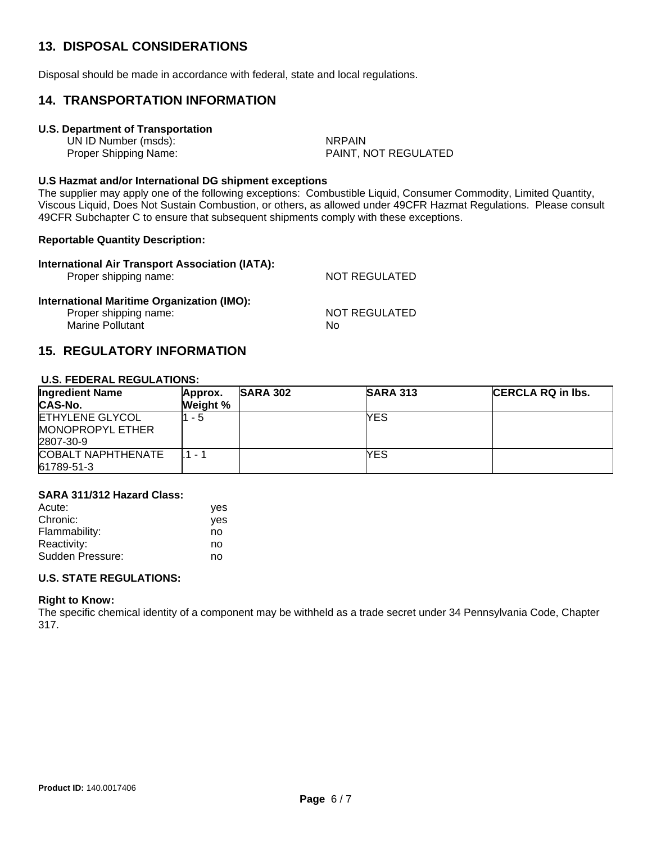## **13. DISPOSAL CONSIDERATIONS**

Disposal should be made in accordance with federal, state and local regulations.

#### **14. TRANSPORTATION INFORMATION**

#### **U.S. Department of Transportation**

UN ID Number (msds): NRPAIN

Proper Shipping Name: PAINT, NOT REGULATED

#### **U.S Hazmat and/or International DG shipment exceptions**

The supplier may apply one of the following exceptions: Combustible Liquid, Consumer Commodity, Limited Quantity, Viscous Liquid, Does Not Sustain Combustion, or others, as allowed under 49CFR Hazmat Regulations. Please consult 49CFR Subchapter C to ensure that subsequent shipments comply with these exceptions.

#### **Reportable Quantity Description:**

| International Air Transport Association (IATA):<br>Proper shipping name: | NOT REGULATED |
|--------------------------------------------------------------------------|---------------|
| International Maritime Organization (IMO):                               |               |
| Proper shipping name:                                                    | NOT REGULATED |
| <b>Marine Pollutant</b>                                                  | Nο            |

#### **15. REGULATORY INFORMATION**

#### **U.S. FEDERAL REGULATIONS:**

| <b>Ingredient Name</b>                                         | Approx.  | <b>SARA 302</b> | <b>SARA 313</b> | <b>CERCLA RQ in lbs.</b> |
|----------------------------------------------------------------|----------|-----------------|-----------------|--------------------------|
| CAS-No.                                                        | Weight % |                 |                 |                          |
| <b>ETHYLENE GLYCOL</b><br><b>MONOPROPYL ETHER</b><br>2807-30-9 | - 5      |                 | YES             |                          |
| COBALT NAPHTHENATE<br>61789-51-3                               | $1 -$    |                 | YES             |                          |

#### **SARA 311/312 Hazard Class:**

| Acute:           | yes |
|------------------|-----|
| Chronic:         | ves |
| Flammability:    | no  |
| Reactivity:      | no  |
| Sudden Pressure: | no  |

#### **U.S. STATE REGULATIONS:**

#### **Right to Know:**

The specific chemical identity of a component may be withheld as a trade secret under 34 Pennsylvania Code, Chapter 317.